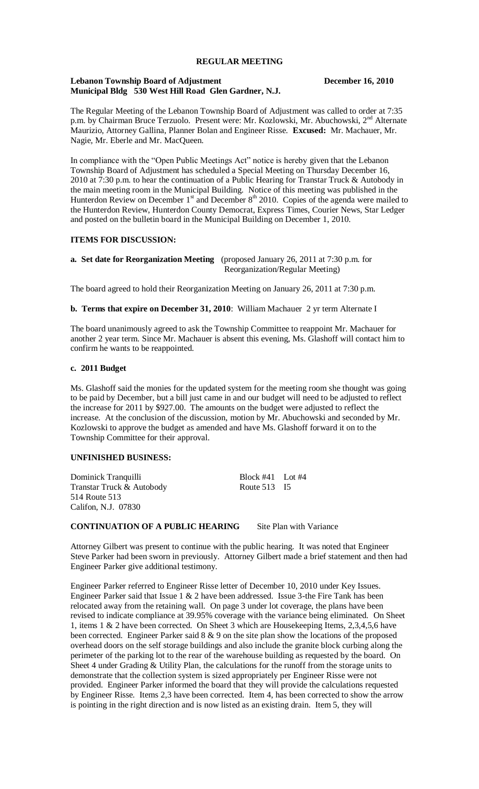## **REGULAR MEETING**

#### **Lebanon Township Board of Adjustment December 16, 2010 Municipal Bldg 530 West Hill Road Glen Gardner, N.J.**

The Regular Meeting of the Lebanon Township Board of Adjustment was called to order at 7:35 p.m. by Chairman Bruce Terzuolo. Present were: Mr. Kozlowski, Mr. Abuchowski, 2<sup>nd</sup> Alternate Maurizio, Attorney Gallina, Planner Bolan and Engineer Risse. **Excused:** Mr. Machauer, Mr. Nagie, Mr. Eberle and Mr. MacQueen.

In compliance with the "Open Public Meetings Act" notice is hereby given that the Lebanon Township Board of Adjustment has scheduled a Special Meeting on Thursday December 16, 2010 at 7:30 p.m. to hear the continuation of a Public Hearing for Transtar Truck & Autobody in the main meeting room in the Municipal Building. Notice of this meeting was published in the Hunterdon Review on December  $1<sup>st</sup>$  and December  $8<sup>th</sup>$  2010. Copies of the agenda were mailed to the Hunterdon Review, Hunterdon County Democrat, Express Times, Courier News, Star Ledger and posted on the bulletin board in the Municipal Building on December 1, 2010.

# **ITEMS FOR DISCUSSION:**

## **a. Set date for Reorganization Meeting** (proposed January 26, 2011 at 7:30 p.m. for Reorganization/Regular Meeting)

The board agreed to hold their Reorganization Meeting on January 26, 2011 at 7:30 p.m.

**b. Terms that expire on December 31, 2010**: William Machauer 2 yr term Alternate I

The board unanimously agreed to ask the Township Committee to reappoint Mr. Machauer for another 2 year term. Since Mr. Machauer is absent this evening, Ms. Glashoff will contact him to confirm he wants to be reappointed.

#### **c. 2011 Budget**

Ms. Glashoff said the monies for the updated system for the meeting room she thought was going to be paid by December, but a bill just came in and our budget will need to be adjusted to reflect the increase for 2011 by \$927.00. The amounts on the budget were adjusted to reflect the increase. At the conclusion of the discussion, motion by Mr. Abuchowski and seconded by Mr. Kozlowski to approve the budget as amended and have Ms. Glashoff forward it on to the Township Committee for their approval.

# **UNFINISHED BUSINESS:**

Dominick Tranquilli Block #41 Lot #4 Transtar Truck & Autobody Route 513 I5 514 Route 513 Califon, N.J. 07830

# **CONTINUATION OF A PUBLIC HEARING** Site Plan with Variance

Attorney Gilbert was present to continue with the public hearing. It was noted that Engineer Steve Parker had been sworn in previously. Attorney Gilbert made a brief statement and then had Engineer Parker give additional testimony.

Engineer Parker referred to Engineer Risse letter of December 10, 2010 under Key Issues. Engineer Parker said that Issue 1 & 2 have been addressed. Issue 3-the Fire Tank has been relocated away from the retaining wall. On page 3 under lot coverage, the plans have been revised to indicate compliance at 39.95% coverage with the variance being eliminated. On Sheet 1, items 1 & 2 have been corrected. On Sheet 3 which are Housekeeping Items, 2,3,4,5,6 have been corrected. Engineer Parker said 8 & 9 on the site plan show the locations of the proposed overhead doors on the self storage buildings and also include the granite block curbing along the perimeter of the parking lot to the rear of the warehouse building as requested by the board. On Sheet 4 under Grading & Utility Plan, the calculations for the runoff from the storage units to demonstrate that the collection system is sized appropriately per Engineer Risse were not provided. Engineer Parker informed the board that they will provide the calculations requested by Engineer Risse. Items 2,3 have been corrected. Item 4, has been corrected to show the arrow is pointing in the right direction and is now listed as an existing drain. Item 5, they will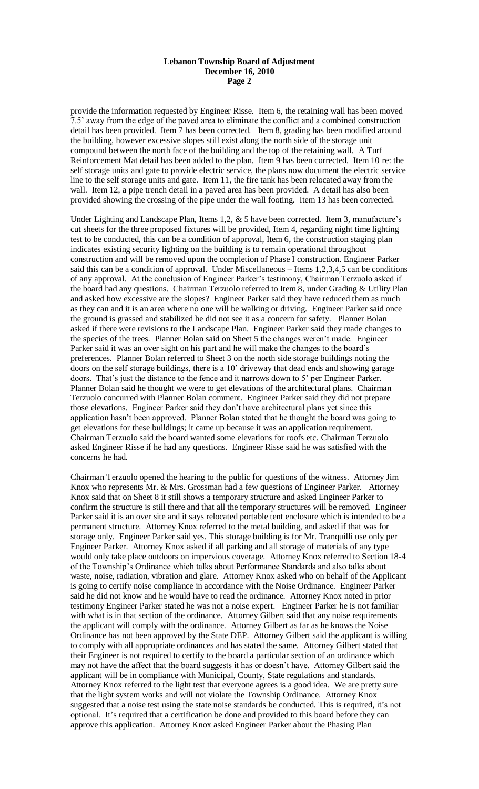provide the information requested by Engineer Risse. Item 6, the retaining wall has been moved 7.5' away from the edge of the paved area to eliminate the conflict and a combined construction detail has been provided. Item 7 has been corrected. Item 8, grading has been modified around the building, however excessive slopes still exist along the north side of the storage unit compound between the north face of the building and the top of the retaining wall. A Turf Reinforcement Mat detail has been added to the plan. Item 9 has been corrected. Item 10 re: the self storage units and gate to provide electric service, the plans now document the electric service line to the self storage units and gate. Item 11, the fire tank has been relocated away from the wall. Item 12, a pipe trench detail in a paved area has been provided. A detail has also been provided showing the crossing of the pipe under the wall footing. Item 13 has been corrected.

Under Lighting and Landscape Plan, Items 1,2, & 5 have been corrected. Item 3, manufacture's cut sheets for the three proposed fixtures will be provided, Item 4, regarding night time lighting test to be conducted, this can be a condition of approval, Item 6, the construction staging plan indicates existing security lighting on the building is to remain operational throughout construction and will be removed upon the completion of Phase I construction. Engineer Parker said this can be a condition of approval. Under Miscellaneous – Items 1,2,3,4,5 can be conditions of any approval. At the conclusion of Engineer Parker's testimony, Chairman Terzuolo asked if the board had any questions. Chairman Terzuolo referred to Item 8, under Grading & Utility Plan and asked how excessive are the slopes? Engineer Parker said they have reduced them as much as they can and it is an area where no one will be walking or driving. Engineer Parker said once the ground is grassed and stabilized he did not see it as a concern for safety. Planner Bolan asked if there were revisions to the Landscape Plan. Engineer Parker said they made changes to the species of the trees. Planner Bolan said on Sheet 5 the changes weren't made. Engineer Parker said it was an over sight on his part and he will make the changes to the board's preferences. Planner Bolan referred to Sheet 3 on the north side storage buildings noting the doors on the self storage buildings, there is a 10' driveway that dead ends and showing garage doors. That's just the distance to the fence and it narrows down to 5' per Engineer Parker. Planner Bolan said he thought we were to get elevations of the architectural plans. Chairman Terzuolo concurred with Planner Bolan comment. Engineer Parker said they did not prepare those elevations. Engineer Parker said they don't have architectural plans yet since this application hasn't been approved. Planner Bolan stated that he thought the board was going to get elevations for these buildings; it came up because it was an application requirement. Chairman Terzuolo said the board wanted some elevations for roofs etc. Chairman Terzuolo asked Engineer Risse if he had any questions. Engineer Risse said he was satisfied with the concerns he had.

Chairman Terzuolo opened the hearing to the public for questions of the witness. Attorney Jim Knox who represents Mr. & Mrs. Grossman had a few questions of Engineer Parker. Attorney Knox said that on Sheet 8 it still shows a temporary structure and asked Engineer Parker to confirm the structure is still there and that all the temporary structures will be removed. Engineer Parker said it is an over site and it says relocated portable tent enclosure which is intended to be a permanent structure. Attorney Knox referred to the metal building, and asked if that was for storage only. Engineer Parker said yes. This storage building is for Mr. Tranquilli use only per Engineer Parker. Attorney Knox asked if all parking and all storage of materials of any type would only take place outdoors on impervious coverage. Attorney Knox referred to Section 18-4 of the Township's Ordinance which talks about Performance Standards and also talks about waste, noise, radiation, vibration and glare. Attorney Knox asked who on behalf of the Applicant is going to certify noise compliance in accordance with the Noise Ordinance. Engineer Parker said he did not know and he would have to read the ordinance. Attorney Knox noted in prior testimony Engineer Parker stated he was not a noise expert. Engineer Parker he is not familiar with what is in that section of the ordinance. Attorney Gilbert said that any noise requirements the applicant will comply with the ordinance. Attorney Gilbert as far as he knows the Noise Ordinance has not been approved by the State DEP. Attorney Gilbert said the applicant is willing to comply with all appropriate ordinances and has stated the same. Attorney Gilbert stated that their Engineer is not required to certify to the board a particular section of an ordinance which may not have the affect that the board suggests it has or doesn't have. Attorney Gilbert said the applicant will be in compliance with Municipal, County, State regulations and standards. Attorney Knox referred to the light test that everyone agrees is a good idea. We are pretty sure that the light system works and will not violate the Township Ordinance. Attorney Knox suggested that a noise test using the state noise standards be conducted. This is required, it's not optional. It's required that a certification be done and provided to this board before they can approve this application. Attorney Knox asked Engineer Parker about the Phasing Plan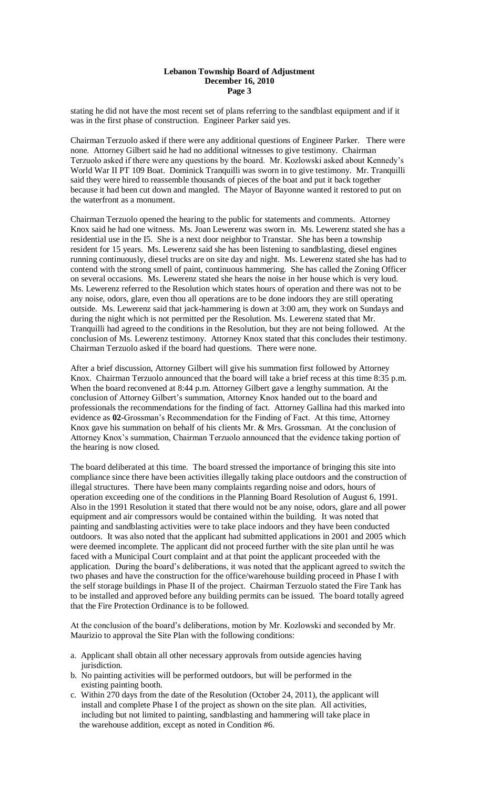stating he did not have the most recent set of plans referring to the sandblast equipment and if it was in the first phase of construction. Engineer Parker said yes.

Chairman Terzuolo asked if there were any additional questions of Engineer Parker. There were none. Attorney Gilbert said he had no additional witnesses to give testimony. Chairman Terzuolo asked if there were any questions by the board. Mr. Kozlowski asked about Kennedy's World War II PT 109 Boat. Dominick Tranquilli was sworn in to give testimony. Mr. Tranquilli said they were hired to reassemble thousands of pieces of the boat and put it back together because it had been cut down and mangled. The Mayor of Bayonne wanted it restored to put on the waterfront as a monument.

Chairman Terzuolo opened the hearing to the public for statements and comments. Attorney Knox said he had one witness. Ms. Joan Lewerenz was sworn in. Ms. Lewerenz stated she has a residential use in the I5. She is a next door neighbor to Transtar. She has been a township resident for 15 years. Ms. Lewerenz said she has been listening to sandblasting, diesel engines running continuously, diesel trucks are on site day and night. Ms. Lewerenz stated she has had to contend with the strong smell of paint, continuous hammering. She has called the Zoning Officer on several occasions. Ms. Lewerenz stated she hears the noise in her house which is very loud. Ms. Lewerenz referred to the Resolution which states hours of operation and there was not to be any noise, odors, glare, even thou all operations are to be done indoors they are still operating outside. Ms. Lewerenz said that jack-hammering is down at 3:00 am, they work on Sundays and during the night which is not permitted per the Resolution. Ms. Lewerenz stated that Mr. Tranquilli had agreed to the conditions in the Resolution, but they are not being followed. At the conclusion of Ms. Lewerenz testimony. Attorney Knox stated that this concludes their testimony. Chairman Terzuolo asked if the board had questions. There were none.

After a brief discussion, Attorney Gilbert will give his summation first followed by Attorney Knox. Chairman Terzuolo announced that the board will take a brief recess at this time 8:35 p.m. When the board reconvened at 8:44 p.m. Attorney Gilbert gave a lengthy summation. At the conclusion of Attorney Gilbert's summation, Attorney Knox handed out to the board and professionals the recommendations for the finding of fact. Attorney Gallina had this marked into evidence as **02**-Grossman's Recommendation for the Finding of Fact. At this time, Attorney Knox gave his summation on behalf of his clients Mr. & Mrs. Grossman. At the conclusion of Attorney Knox's summation, Chairman Terzuolo announced that the evidence taking portion of the hearing is now closed.

The board deliberated at this time. The board stressed the importance of bringing this site into compliance since there have been activities illegally taking place outdoors and the construction of illegal structures. There have been many complaints regarding noise and odors, hours of operation exceeding one of the conditions in the Planning Board Resolution of August 6, 1991. Also in the 1991 Resolution it stated that there would not be any noise, odors, glare and all power equipment and air compressors would be contained within the building. It was noted that painting and sandblasting activities were to take place indoors and they have been conducted outdoors. It was also noted that the applicant had submitted applications in 2001 and 2005 which were deemed incomplete. The applicant did not proceed further with the site plan until he was faced with a Municipal Court complaint and at that point the applicant proceeded with the application. During the board's deliberations, it was noted that the applicant agreed to switch the two phases and have the construction for the office/warehouse building proceed in Phase I with the self storage buildings in Phase II of the project. Chairman Terzuolo stated the Fire Tank has to be installed and approved before any building permits can be issued. The board totally agreed that the Fire Protection Ordinance is to be followed.

At the conclusion of the board's deliberations, motion by Mr. Kozlowski and seconded by Mr. Maurizio to approval the Site Plan with the following conditions:

- a. Applicant shall obtain all other necessary approvals from outside agencies having jurisdiction.
- b. No painting activities will be performed outdoors, but will be performed in the existing painting booth.
- c. Within 270 days from the date of the Resolution (October 24, 2011), the applicant will install and complete Phase I of the project as shown on the site plan. All activities, including but not limited to painting, sandblasting and hammering will take place in the warehouse addition, except as noted in Condition #6.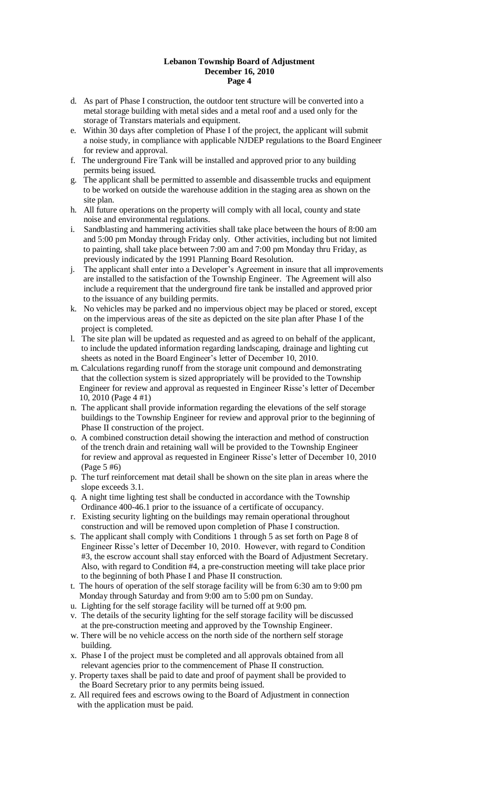- d. As part of Phase I construction, the outdoor tent structure will be converted into a metal storage building with metal sides and a metal roof and a used only for the storage of Transtars materials and equipment.
- e. Within 30 days after completion of Phase I of the project, the applicant will submit a noise study, in compliance with applicable NJDEP regulations to the Board Engineer for review and approval.
- f. The underground Fire Tank will be installed and approved prior to any building permits being issued.
- g. The applicant shall be permitted to assemble and disassemble trucks and equipment to be worked on outside the warehouse addition in the staging area as shown on the site plan.
- h. All future operations on the property will comply with all local, county and state noise and environmental regulations.
- i. Sandblasting and hammering activities shall take place between the hours of 8:00 am and 5:00 pm Monday through Friday only. Other activities, including but not limited to painting, shall take place between 7:00 am and 7:00 pm Monday thru Friday, as previously indicated by the 1991 Planning Board Resolution.
- j. The applicant shall enter into a Developer's Agreement in insure that all improvements are installed to the satisfaction of the Township Engineer. The Agreement will also include a requirement that the underground fire tank be installed and approved prior to the issuance of any building permits.
- k. No vehicles may be parked and no impervious object may be placed or stored, except on the impervious areas of the site as depicted on the site plan after Phase I of the project is completed.
- l. The site plan will be updated as requested and as agreed to on behalf of the applicant, to include the updated information regarding landscaping, drainage and lighting cut sheets as noted in the Board Engineer's letter of December 10, 2010.
- m. Calculations regarding runoff from the storage unit compound and demonstrating that the collection system is sized appropriately will be provided to the Township Engineer for review and approval as requested in Engineer Risse's letter of December 10, 2010 (Page 4 #1)
- n. The applicant shall provide information regarding the elevations of the self storage buildings to the Township Engineer for review and approval prior to the beginning of Phase II construction of the project.
- o. A combined construction detail showing the interaction and method of construction of the trench drain and retaining wall will be provided to the Township Engineer for review and approval as requested in Engineer Risse's letter of December 10, 2010 (Page 5 #6)
- p. The turf reinforcement mat detail shall be shown on the site plan in areas where the slope exceeds 3.1.
- q. A night time lighting test shall be conducted in accordance with the Township Ordinance 400-46.1 prior to the issuance of a certificate of occupancy.
- r. Existing security lighting on the buildings may remain operational throughout construction and will be removed upon completion of Phase I construction.
- s. The applicant shall comply with Conditions 1 through 5 as set forth on Page 8 of Engineer Risse's letter of December 10, 2010. However, with regard to Condition #3, the escrow account shall stay enforced with the Board of Adjustment Secretary. Also, with regard to Condition #4, a pre-construction meeting will take place prior to the beginning of both Phase I and Phase II construction.
- t. The hours of operation of the self storage facility will be from 6:30 am to 9:00 pm Monday through Saturday and from 9:00 am to 5:00 pm on Sunday.
- u. Lighting for the self storage facility will be turned off at 9:00 pm.
- v. The details of the security lighting for the self storage facility will be discussed at the pre-construction meeting and approved by the Township Engineer.
- w. There will be no vehicle access on the north side of the northern self storage building.
- x. Phase I of the project must be completed and all approvals obtained from all relevant agencies prior to the commencement of Phase II construction.
- y. Property taxes shall be paid to date and proof of payment shall be provided to the Board Secretary prior to any permits being issued.
- z. All required fees and escrows owing to the Board of Adjustment in connection with the application must be paid.